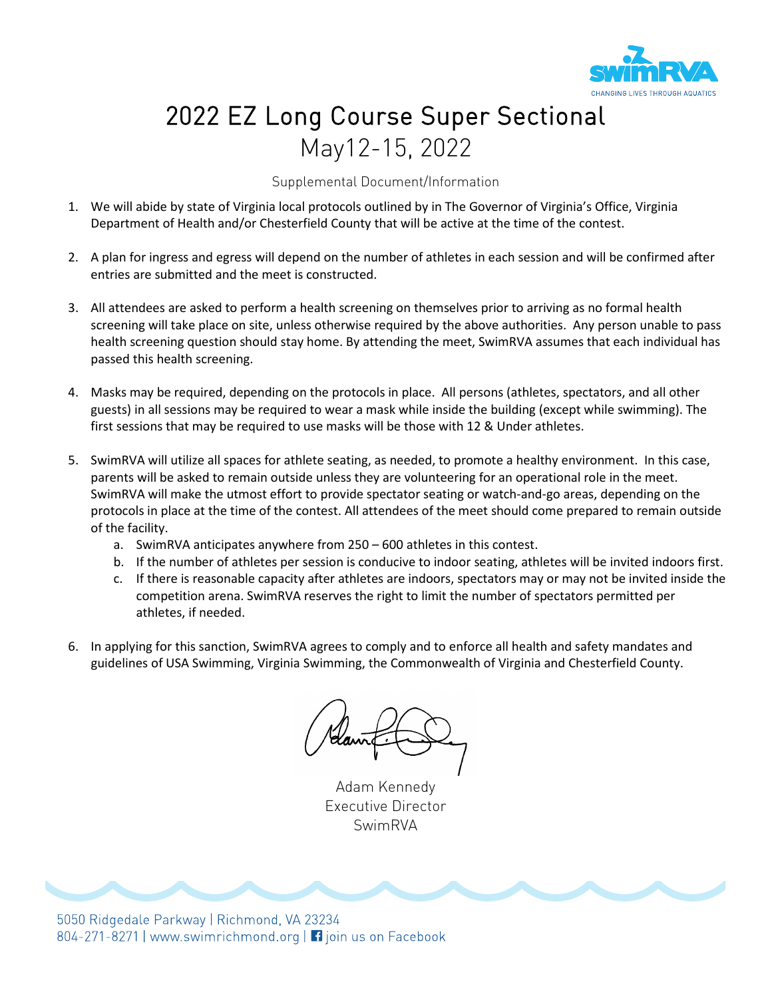

## 2022 EZ Long Course Super Sectional May12-15, 2022

Supplemental Document/Information

- 1. We will abide by state of Virginia local protocols outlined by in The Governor of Virginia's Office, Virginia Department of Health and/or Chesterfield County that will be active at the time of the contest.
- 2. A plan for ingress and egress will depend on the number of athletes in each session and will be confirmed after entries are submitted and the meet is constructed.
- 3. All attendees are asked to perform a health screening on themselves prior to arriving as no formal health screening will take place on site, unless otherwise required by the above authorities. Any person unable to pass health screening question should stay home. By attending the meet, SwimRVA assumes that each individual has passed this health screening.
- 4. Masks may be required, depending on the protocols in place. All persons (athletes, spectators, and all other guests) in all sessions may be required to wear a mask while inside the building (except while swimming). The first sessions that may be required to use masks will be those with 12 & Under athletes.
- 5. SwimRVA will utilize all spaces for athlete seating, as needed, to promote a healthy environment. In this case, parents will be asked to remain outside unless they are volunteering for an operational role in the meet. SwimRVA will make the utmost effort to provide spectator seating or watch-and-go areas, depending on the protocols in place at the time of the contest. All attendees of the meet should come prepared to remain outside of the facility.
	- a. SwimRVA anticipates anywhere from 250 600 athletes in this contest.
	- b. If the number of athletes per session is conducive to indoor seating, athletes will be invited indoors first.
	- c. If there is reasonable capacity after athletes are indoors, spectators may or may not be invited inside the competition arena. SwimRVA reserves the right to limit the number of spectators permitted per athletes, if needed.
- 6. In applying for this sanction, SwimRVA agrees to comply and to enforce all health and safety mandates and guidelines of USA Swimming, Virginia Swimming, the Commonwealth of Virginia and Chesterfield County.

Adam Kennedy Executive Director SwimRVA